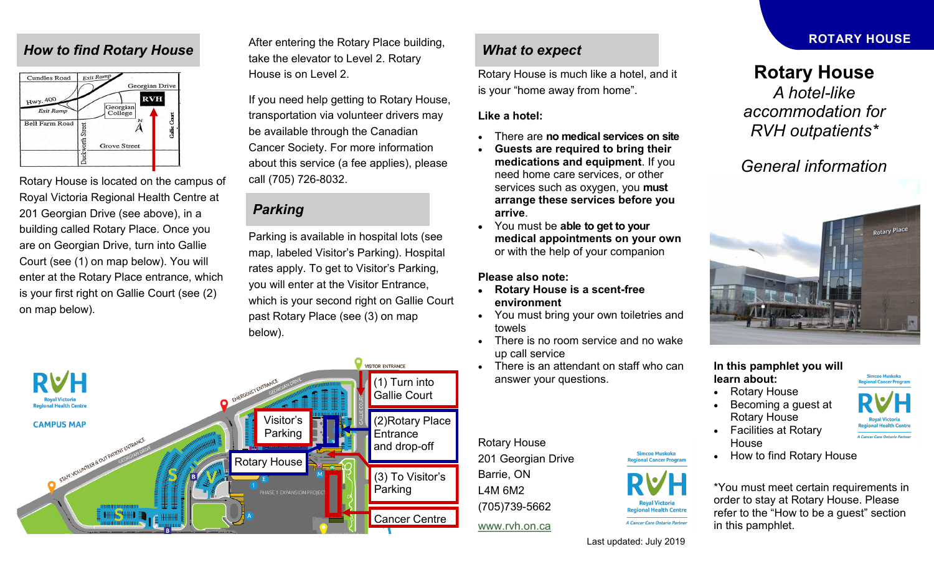### *How to find Rotary House*



Rotary House is located on the campus of Royal Victoria Regional Health Centre at 201 Georgian Drive (see above), in a building called Rotary Place. Once you are on Georgian Drive, turn into Gallie Court (see (1) on map below). You will enter at the Rotary Place entrance, which is your first right on Gallie Court (see (2) on map below).

After entering the Rotary Place building, take the elevator to Level 2. Rotary House is on Level 2.

If you need help getting to Rotary House, transportation via volunteer drivers may be available through the Canadian Cancer Society. For more information about this service (a fee applies), please call (705) 726-8032.

## *Parking*

Parking is available in hospital lots (see map, labeled Visitor's Parking). Hospital rates apply. To get to Visitor's Parking, you will enter at the Visitor Entrance, which is your second right on Gallie Court past Rotary Place (see (3) on map below).



### *What to expect*

Rotary House is much like a hotel, and it is your "home away from home".

#### **Like a hotel:**

- There are **no medical services on site**
- **Guests are required to bring their medications and equipment**. If you need home care services, or other services such as oxygen, you **must arrange these services before you arrive**.
- You must be **able to get to your medical appointments on your own** or with the help of your companion

#### **Please also note:**

- **Rotary House is a scent-free environment**
- You must bring your own toiletries and towels
- There is no room service and no wake up call service
- There is an attendant on staff who can answer your questions.

Rotary House 201 Georgian Drive Barrie, ON L4M 6M2 (705)739-5662

Last updated: July 2019

**Regional Health Centre** A Cancer Care Ontario Partner

### **ROTARY HOUSE**

# **Rotary House**

*A hotel-like accommodation for RVH outpatients\**

# *General information*



**In this pamphlet you will learn about:**

- Rotary House
- Becoming a guest at Rotary House
- Facilities at Rotary **House**
- How to find Rotary House

\*You must meet certain requirements in order to stay at Rotary House. Please refer to the "How to be a guest" section in this pamphlet.